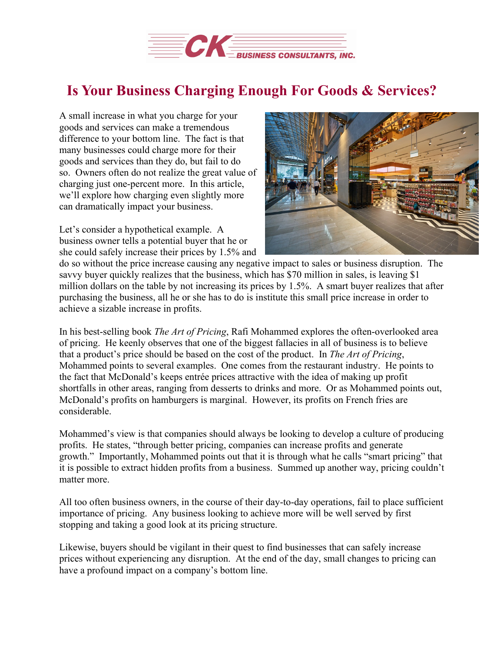

## **Is Your Business Charging Enough For Goods & Services?**

A small increase in what you charge for your goods and services can make a tremendous difference to your bottom line. The fact is that many businesses could charge more for their goods and services than they do, but fail to do so. Owners often do not realize the great value of charging just one-percent more. In this article, we'll explore how charging even slightly more can dramatically impact your business.

Let's consider a hypothetical example. A business owner tells a potential buyer that he or she could safely increase their prices by 1.5% and



do so without the price increase causing any negative impact to sales or business disruption. The savvy buyer quickly realizes that the business, which has \$70 million in sales, is leaving \$1 million dollars on the table by not increasing its prices by 1.5%. A smart buyer realizes that after purchasing the business, all he or she has to do is institute this small price increase in order to achieve a sizable increase in profits.

In his best-selling book *The Art of Pricing*, Rafi Mohammed explores the often-overlooked area of pricing. He keenly observes that one of the biggest fallacies in all of business is to believe that a product's price should be based on the cost of the product. In *The Art of Pricing*, Mohammed points to several examples. One comes from the restaurant industry. He points to the fact that McDonald's keeps entrée prices attractive with the idea of making up profit shortfalls in other areas, ranging from desserts to drinks and more. Or as Mohammed points out, McDonald's profits on hamburgers is marginal. However, its profits on French fries are considerable.

Mohammed's view is that companies should always be looking to develop a culture of producing profits. He states, "through better pricing, companies can increase profits and generate growth." Importantly, Mohammed points out that it is through what he calls "smart pricing" that it is possible to extract hidden profits from a business. Summed up another way, pricing couldn't matter more.

All too often business owners, in the course of their day-to-day operations, fail to place sufficient importance of pricing. Any business looking to achieve more will be well served by first stopping and taking a good look at its pricing structure.

Likewise, buyers should be vigilant in their quest to find businesses that can safely increase prices without experiencing any disruption. At the end of the day, small changes to pricing can have a profound impact on a company's bottom line.